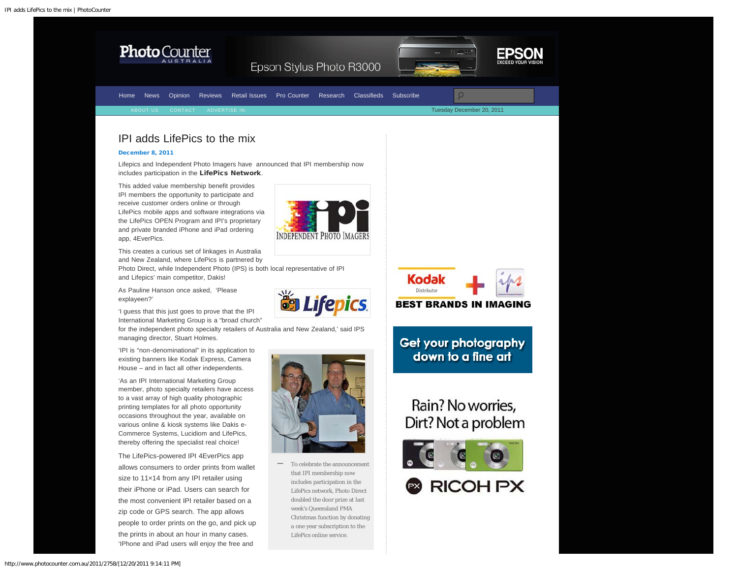<span id="page-0-0"></span>

http://www.photocounter.com.au/2011/2758/[12/20/2011 9:14:11 PM]

'IPhone and iPad users will enjoy the free and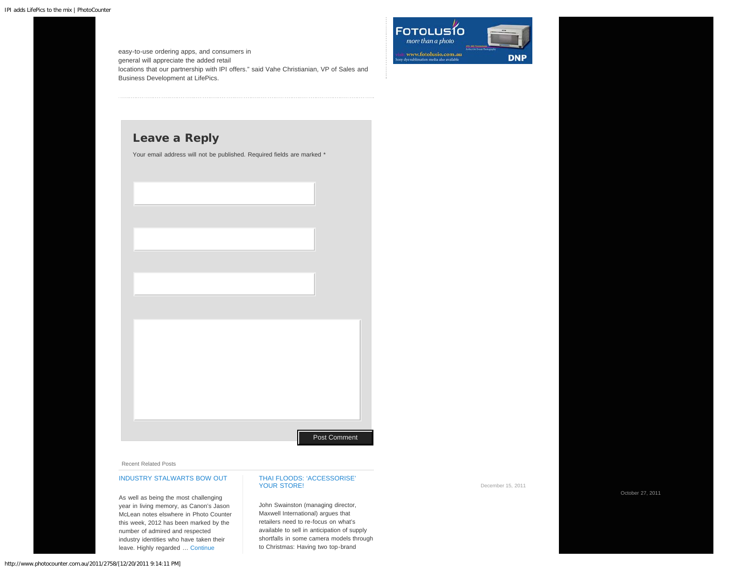easy-to-use ordering apps, and consumers in general will appreciate the added retail locations that our partnership with IPI offers." said Vahe Christianian, VP of Sales and Business Development at LifePics.



## Leave a Reply

Your email address will not be published. Required fields are marked \*

## Recent Related Posts

## [INDUSTRY STALWARTS BOW OUT](http://www.photocounter.com.au/2011/industry-stalwarts-bow-out-in-2011/)

As well as being the most challenging year in living memory, as Canon's Jason McLean notes elswhere in Photo Counter this week, 2012 has been marked by the number of admired and respected industry identities who have taken their leave. Highly regarded … [Continue](http://www.photocounter.com.au/2011/industry-stalwarts-bow-out-in-2011/)

## [THAI FLOODS: 'ACCESSORISE'](http://www.photocounter.com.au/2011/thai-floods-accessorise-your-store/) [YOUR STORE!](http://www.photocounter.com.au/2011/thai-floods-accessorise-your-store/)

John Swainston (managing director, Maxwell International) argues that retailers need to re-focus on what's available to sell in anticipation of supply shortfalls in some camera models through to Christmas: Having two top-brand

Post Comment

December 15, 2011

October 27, 2011